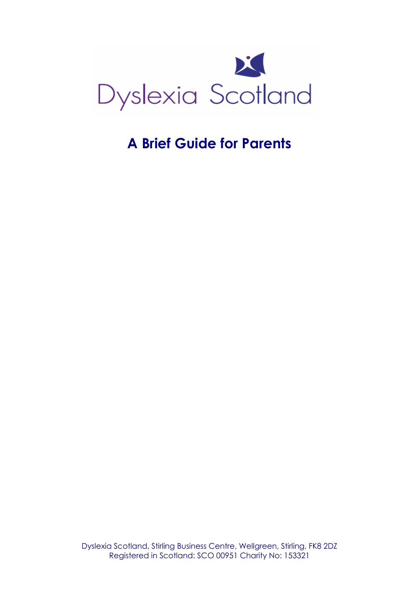

# A Brief Guide for Parents

Dyslexia Scotland, Stirling Business Centre, Wellgreen, Stirling, FK8 2DZ Registered in Scotland: SCO 00951 Charity No: 153321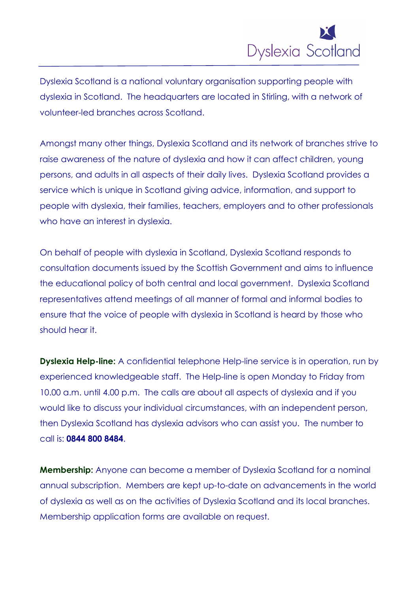

Dyslexia Scotland is a national voluntary organisation supporting people with dyslexia in Scotland. The headquarters are located in Stirling, with a network of volunteer-led branches across Scotland.

Amongst many other things, Dyslexia Scotland and its network of branches strive to raise awareness of the nature of dyslexia and how it can affect children, young persons, and adults in all aspects of their daily lives. Dyslexia Scotland provides a service which is unique in Scotland giving advice, information, and support to people with dyslexia, their families, teachers, employers and to other professionals who have an interest in dyslexia.

On behalf of people with dyslexia in Scotland, Dyslexia Scotland responds to consultation documents issued by the Scottish Government and aims to influence the educational policy of both central and local government. Dyslexia Scotland representatives attend meetings of all manner of formal and informal bodies to ensure that the voice of people with dyslexia in Scotland is heard by those who should hear it.

**Dyslexia Help-line:** A confidential telephone Help-line service is in operation, run by experienced knowledgeable staff. The Help-line is open Monday to Friday from 10.00 a.m. until 4.00 p.m. The calls are about all aspects of dyslexia and if you would like to discuss your individual circumstances, with an independent person, then Dyslexia Scotland has dyslexia advisors who can assist you. The number to call is: 0844 800 8484.

**Membership:** Anyone can become a member of Dyslexia Scotland for a nominal annual subscription. Members are kept up-to-date on advancements in the world of dyslexia as well as on the activities of Dyslexia Scotland and its local branches. Membership application forms are available on request.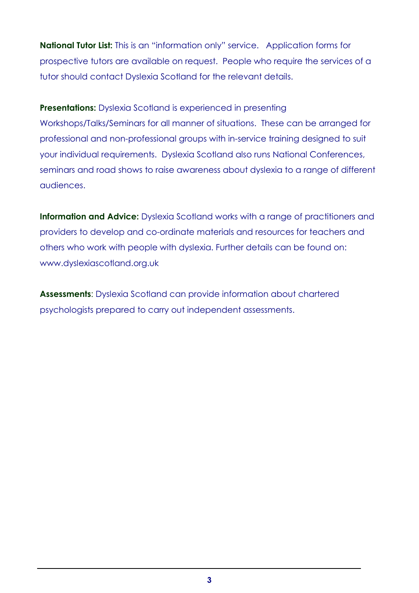National Tutor List: This is an "information only" service. Application forms for prospective tutors are available on request. People who require the services of a tutor should contact Dyslexia Scotland for the relevant details.

**Presentations:** Dyslexia Scotland is experienced in presenting Workshops/Talks/Seminars for all manner of situations. These can be arranged for professional and non-professional groups with in-service training designed to suit your individual requirements. Dyslexia Scotland also runs National Conferences, seminars and road shows to raise awareness about dyslexia to a range of different audiences.

Information and Advice: Dyslexia Scotland works with a range of practitioners and providers to develop and co-ordinate materials and resources for teachers and others who work with people with dyslexia. Further details can be found on: www.dyslexiascotland.org.uk

Assessments: Dyslexia Scotland can provide information about chartered psychologists prepared to carry out independent assessments.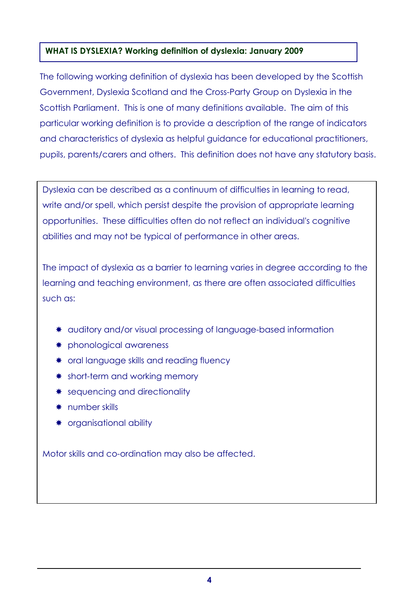## WHAT IS DYSLEXIA? Working definition of dyslexia: January 2009

The following working definition of dyslexia has been developed by the Scottish Government, Dyslexia Scotland and the Cross-Party Group on Dyslexia in the Scottish Parliament. This is one of many definitions available. The aim of this particular working definition is to provide a description of the range of indicators and characteristics of dyslexia as helpful guidance for educational practitioners, pupils, parents/carers and others. This definition does not have any statutory basis.

Dyslexia can be described as a continuum of difficulties in learning to read, write and/or spell, which persist despite the provision of appropriate learning opportunities. These difficulties often do not reflect an individual's cognitive abilities and may not be typical of performance in other areas.

The impact of dyslexia as a barrier to learning varies in degree according to the learning and teaching environment, as there are often associated difficulties such as:

- auditory and/or visual processing of language-based information
- \* phonological awareness
- \* oral language skills and reading fluency
- \* short-term and working memory
- \* sequencing and directionality
- \* number skills
- \* organisational ability

Motor skills and co-ordination may also be affected.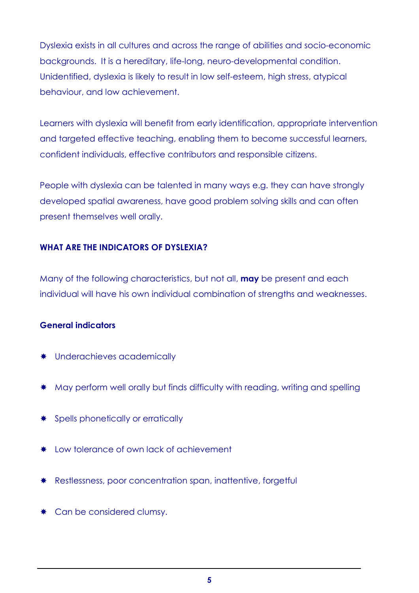Dyslexia exists in all cultures and across the range of abilities and socio-economic backgrounds. It is a hereditary, life-long, neuro-developmental condition. Unidentified, dyslexia is likely to result in low self-esteem, high stress, atypical behaviour, and low achievement.

Learners with dyslexia will benefit from early identification, appropriate intervention and targeted effective teaching, enabling them to become successful learners, confident individuals, effective contributors and responsible citizens.

People with dyslexia can be talented in many ways e.g. they can have strongly developed spatial awareness, have good problem solving skills and can often present themselves well orally.

## WHAT ARE THE INDICATORS OF DYSLEXIA?

Many of the following characteristics, but not all, **may** be present and each individual will have his own individual combination of strengths and weaknesses.

### General indicators

- \* Underachieves academically
- \* May perform well orally but finds difficulty with reading, writing and spelling
- \* Spells phonetically or erratically
- \* Low tolerance of own lack of achievement
- \* Restlessness, poor concentration span, inattentive, forgetful
- \* Can be considered clumsy.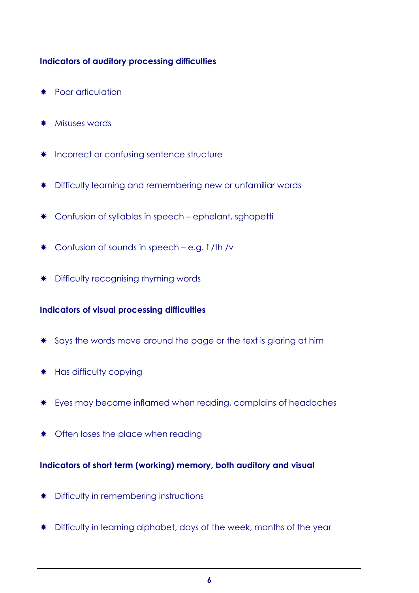## Indicators of auditory processing difficulties

- **\*** Poor articulation
- **\*** Misuses words
- \* Incorrect or confusing sentence structure
- **\*** Difficulty learning and remembering new or unfamiliar words
- \* Confusion of syllables in speech ephelant, sghapetti
- $*$  Confusion of sounds in speech e.g. f /th /v
- **\*** Difficulty recognising rhyming words

### Indicators of visual processing difficulties

- \* Says the words move around the page or the text is glaring at him
- \* Has difficulty copying
- \* Eyes may become inflamed when reading, complains of headaches
- \* Often loses the place when reading

## Indicators of short term (working) memory, both auditory and visual

- **\*** Difficulty in remembering instructions
- $*$  Difficulty in learning alphabet, days of the week, months of the year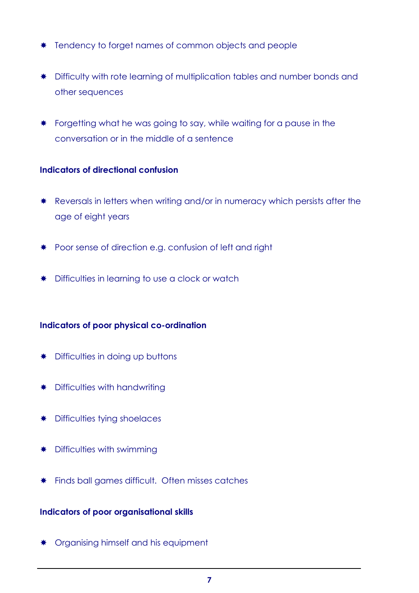- \* Tendency to forget names of common objects and people
- \* Difficulty with rote learning of multiplication tables and number bonds and other sequences
- **\*** Forgetting what he was going to say, while waiting for a pause in the conversation or in the middle of a sentence

### Indicators of directional confusion

- \* Reversals in letters when writing and/or in numeracy which persists after the age of eight years
- \* Poor sense of direction e.g. confusion of left and right
- **★** Difficulties in learning to use a clock or watch

## Indicators of poor physical co-ordination

- **\*** Difficulties in doing up buttons
- **\*** Difficulties with handwriting
- **\*** Difficulties tying shoelaces
- **\*** Difficulties with swimming
- **\*** Finds ball games difficult. Often misses catches

### Indicators of poor organisational skills

**\*** Organising himself and his equipment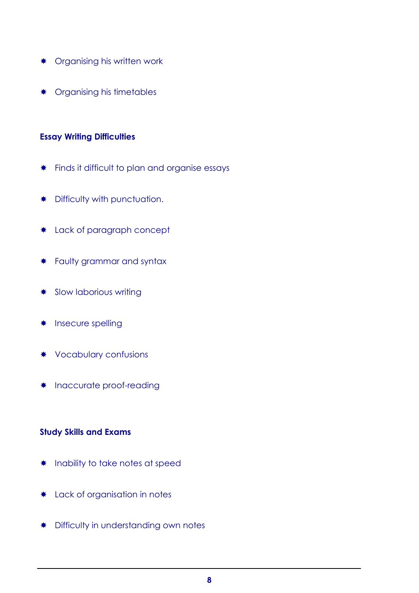- **\*** Organising his written work
- **\*** Organising his timetables

#### Essay Writing Difficulties

- **\*** Finds it difficult to plan and organise essays
- **\*** Difficulty with punctuation.
- \* Lack of paragraph concept
- **\*** Faulty grammar and syntax
- **\*** Slow laborious writing
- **\*** Insecure spelling
- Vocabulary confusions
- \* Inaccurate proof-reading

### Study Skills and Exams

- \* Inability to take notes at speed
- \* Lack of organisation in notes
- **\*** Difficulty in understanding own notes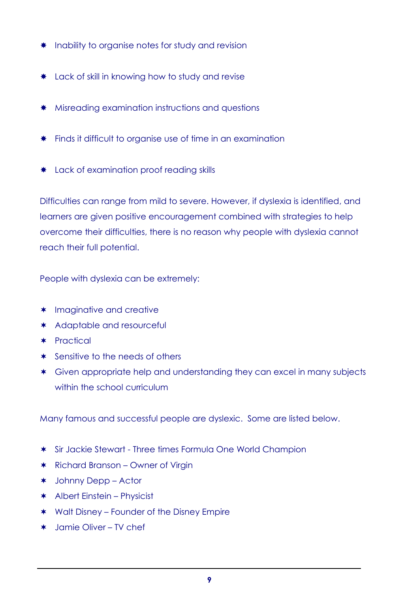- \* Inability to organise notes for study and revision
- **\*** Lack of skill in knowing how to study and revise
- **\*** Misreading examination instructions and questions
- **\*** Finds it difficult to organise use of time in an examination
- \* Lack of examination proof reading skills

Difficulties can range from mild to severe. However, if dyslexia is identified, and learners are given positive encouragement combined with strategies to help overcome their difficulties, there is no reason why people with dyslexia cannot reach their full potential.

People with dyslexia can be extremely:

- \* Imaginative and creative
- \* Adaptable and resourceful
- \* Practical
- \* Sensitive to the needs of others
- \* Given appropriate help and understanding they can excel in many subjects within the school curriculum

Many famous and successful people are dyslexic. Some are listed below.

- \* Sir Jackie Stewart Three times Formula One World Champion
- \* Richard Branson Owner of Virgin
- \* Johnny Depp Actor
- \* Albert Einstein Physicist
- \* Walt Disney Founder of the Disney Empire
- \* Jamie Oliver TV chef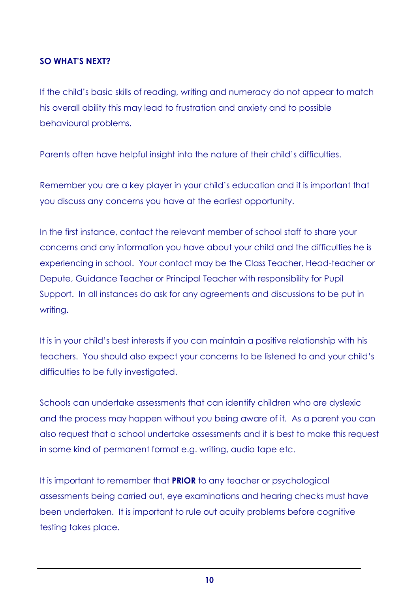#### SO WHAT'S NEXT?

If the child's basic skills of reading, writing and numeracy do not appear to match his overall ability this may lead to frustration and anxiety and to possible behavioural problems.

Parents often have helpful insight into the nature of their child's difficulties.

Remember you are a key player in your child's education and it is important that you discuss any concerns you have at the earliest opportunity.

In the first instance, contact the relevant member of school staff to share your concerns and any information you have about your child and the difficulties he is experiencing in school. Your contact may be the Class Teacher, Head-teacher or Depute, Guidance Teacher or Principal Teacher with responsibility for Pupil Support. In all instances do ask for any agreements and discussions to be put in writing.

It is in your child's best interests if you can maintain a positive relationship with his teachers. You should also expect your concerns to be listened to and your child's difficulties to be fully investigated.

Schools can undertake assessments that can identify children who are dyslexic and the process may happen without you being aware of it. As a parent you can also request that a school undertake assessments and it is best to make this request in some kind of permanent format e.g. writing, audio tape etc.

It is important to remember that **PRIOR** to any teacher or psychological assessments being carried out, eye examinations and hearing checks must have been undertaken. It is important to rule out acuity problems before cognitive testing takes place.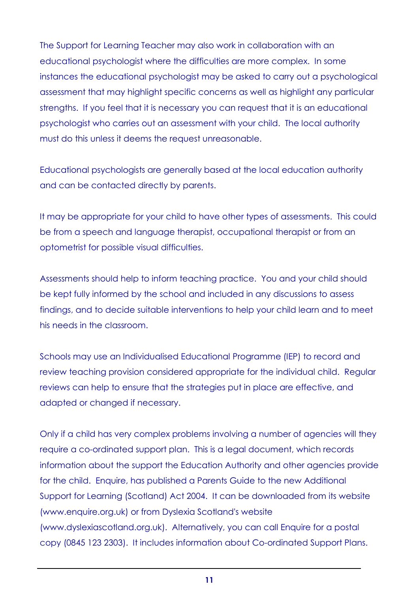The Support for Learning Teacher may also work in collaboration with an educational psychologist where the difficulties are more complex. In some instances the educational psychologist may be asked to carry out a psychological assessment that may highlight specific concerns as well as highlight any particular strengths. If you feel that it is necessary you can request that it is an educational psychologist who carries out an assessment with your child. The local authority must do this unless it deems the request unreasonable.

Educational psychologists are generally based at the local education authority and can be contacted directly by parents.

It may be appropriate for your child to have other types of assessments. This could be from a speech and language therapist, occupational therapist or from an optometrist for possible visual difficulties.

Assessments should help to inform teaching practice. You and your child should be kept fully informed by the school and included in any discussions to assess findings, and to decide suitable interventions to help your child learn and to meet his needs in the classroom.

Schools may use an Individualised Educational Programme (IEP) to record and review teaching provision considered appropriate for the individual child. Regular reviews can help to ensure that the strategies put in place are effective, and adapted or changed if necessary.

Only if a child has very complex problems involving a number of agencies will they require a co-ordinated support plan. This is a legal document, which records information about the support the Education Authority and other agencies provide for the child. Enquire, has published a Parents Guide to the new Additional Support for Learning (Scotland) Act 2004. It can be downloaded from its website (www.enquire.org.uk) or from Dyslexia Scotland's website (www.dyslexiascotland.org.uk). Alternatively, you can call Enquire for a postal copy (0845 123 2303). It includes information about Co-ordinated Support Plans.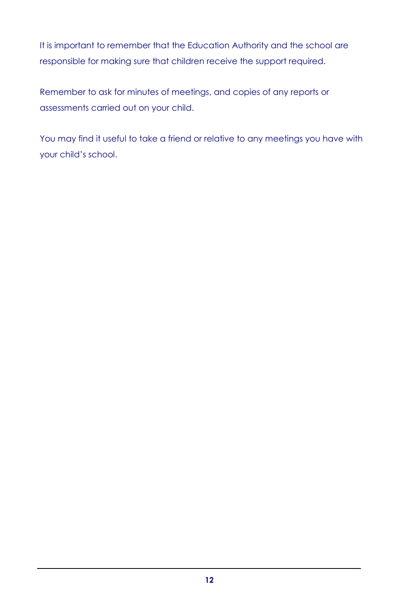It is important to remember that the Education Authority and the school are responsible for making sure that children receive the support required.

Remember to ask for minutes of meetings, and copies of any reports or assessments carried out on your child.

You may find it useful to take a friend or relative to any meetings you have with your child's school.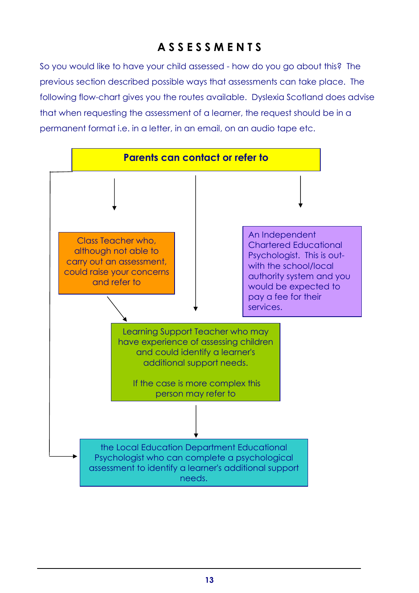## A S S E S S M E N T S

So you would like to have your child assessed - how do you go about this? The previous section described possible ways that assessments can take place. The following flow-chart gives you the routes available. Dyslexia Scotland does advise that when requesting the assessment of a learner, the request should be in a permanent format i.e. in a letter, in an email, on an audio tape etc.

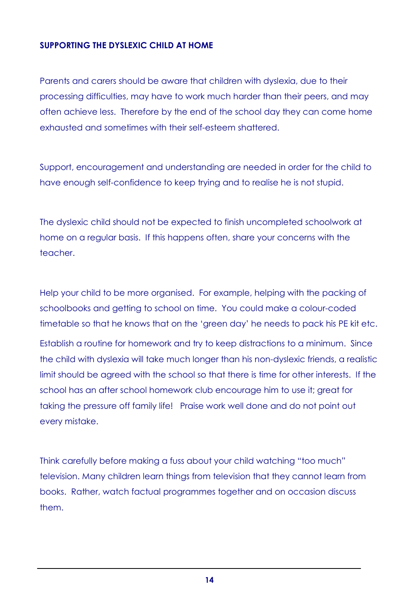## SUPPORTING THE DYSLEXIC CHILD AT HOME

Parents and carers should be aware that children with dyslexia, due to their processing difficulties, may have to work much harder than their peers, and may often achieve less. Therefore by the end of the school day they can come home exhausted and sometimes with their self-esteem shattered.

Support, encouragement and understanding are needed in order for the child to have enough self-confidence to keep trying and to realise he is not stupid.

The dyslexic child should not be expected to finish uncompleted schoolwork at home on a regular basis. If this happens often, share your concerns with the teacher.

Help your child to be more organised. For example, helping with the packing of schoolbooks and getting to school on time. You could make a colour-coded timetable so that he knows that on the 'green day' he needs to pack his PE kit etc. Establish a routine for homework and try to keep distractions to a minimum. Since the child with dyslexia will take much longer than his non-dyslexic friends, a realistic limit should be agreed with the school so that there is time for other interests. If the school has an after school homework club encourage him to use it; great for taking the pressure off family life! Praise work well done and do not point out every mistake.

Think carefully before making a fuss about your child watching "too much" television. Many children learn things from television that they cannot learn from books. Rather, watch factual programmes together and on occasion discuss them.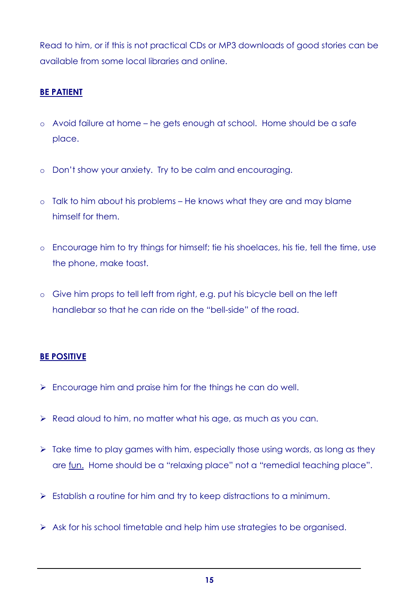Read to him, or if this is not practical CDs or MP3 downloads of good stories can be available from some local libraries and online.

## BE PATIENT

- o Avoid failure at home he gets enough at school. Home should be a safe place.
- o Don't show your anxiety. Try to be calm and encouraging.
- o Talk to him about his problems He knows what they are and may blame himself for them.
- o Encourage him to try things for himself; tie his shoelaces, his tie, tell the time, use the phone, make toast.
- o Give him props to tell left from right, e.g. put his bicycle bell on the left handlebar so that he can ride on the "bell-side" of the road.

## BE POSITIVE

- $\triangleright$  Encourage him and praise him for the things he can do well.
- $\triangleright$  Read aloud to him, no matter what his age, as much as you can.
- $\triangleright$  Take time to play games with him, especially those using words, as long as they are fun. Home should be a "relaxing place" not a "remedial teaching place".
- $\triangleright$  Establish a routine for him and try to keep distractions to a minimum.
- $\triangleright$  Ask for his school timetable and help him use strategies to be organised.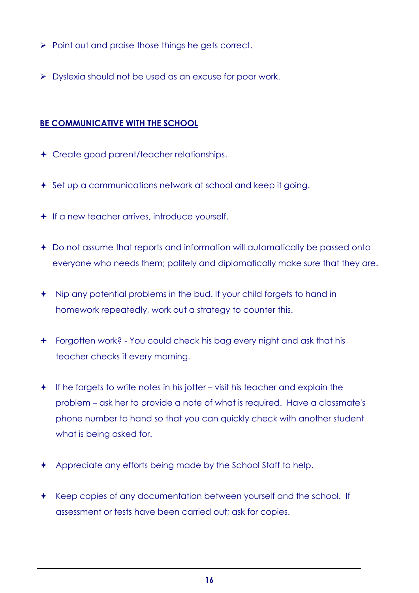- $\triangleright$  Point out and praise those things he gets correct.
- **Dyslexia should not be used as an excuse for poor work.**

## BE COMMUNICATIVE WITH THE SCHOOL

- Create good parent/teacher relationships.
- **←** Set up a communications network at school and keep it going.
- $+$  If a new teacher arrives, introduce yourself.
- Do not assume that reports and information will automatically be passed onto everyone who needs them; politely and diplomatically make sure that they are.
- Nip any potential problems in the bud. If your child forgets to hand in homework repeatedly, work out a strategy to counter this.
- Forgotten work? You could check his bag every night and ask that his teacher checks it every morning.
- $+$  If he forgets to write notes in his jotter visit his teacher and explain the problem – ask her to provide a note of what is required. Have a classmate's phone number to hand so that you can quickly check with another student what is being asked for.
- Appreciate any efforts being made by the School Staff to help.
- \* Keep copies of any documentation between yourself and the school. If assessment or tests have been carried out; ask for copies.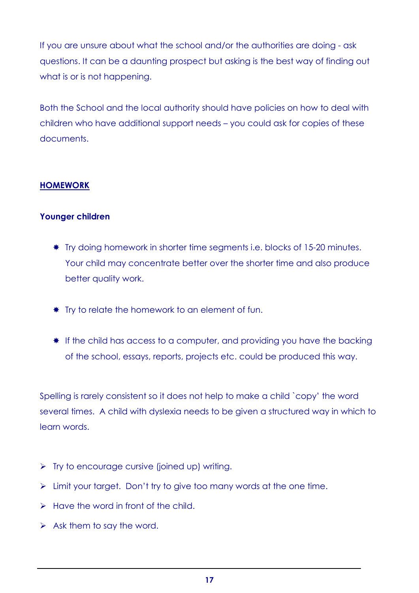If you are unsure about what the school and/or the authorities are doing - ask questions. It can be a daunting prospect but asking is the best way of finding out what is or is not happening.

Both the School and the local authority should have policies on how to deal with children who have additional support needs – you could ask for copies of these documents.

## HOMEWORK

## Younger children

- \* Try doing homework in shorter time segments i.e. blocks of 15-20 minutes. Your child may concentrate better over the shorter time and also produce better quality work.
- **\*** Try to relate the homework to an element of fun.
- **If the child has access to a computer, and providing you have the backing** of the school, essays, reports, projects etc. could be produced this way.

Spelling is rarely consistent so it does not help to make a child `copy' the word several times. A child with dyslexia needs to be given a structured way in which to learn words.

- $\triangleright$  Try to encourage cursive (joined up) writing.
- $\triangleright$  Limit your target. Don't try to give too many words at the one time.
- $\triangleright$  Have the word in front of the child.
- $\triangleright$  Ask them to say the word.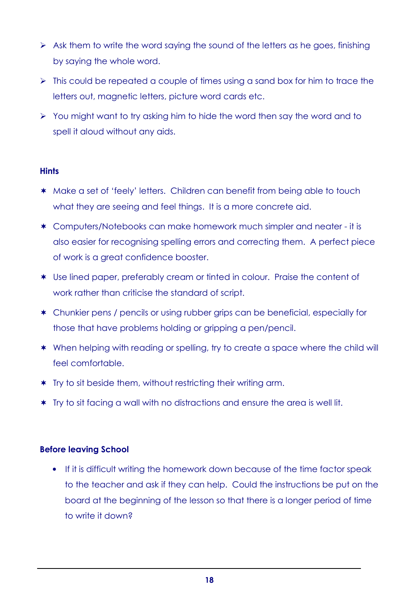- $\triangleright$  Ask them to write the word saying the sound of the letters as he goes, finishing by saying the whole word.
- $\triangleright$  This could be repeated a couple of times using a sand box for him to trace the letters out, magnetic letters, picture word cards etc.
- $\triangleright$  You might want to try asking him to hide the word then say the word and to spell it aloud without any aids.

## **Hints**

- \* Make a set of 'feely' letters. Children can benefit from being able to touch what they are seeing and feel things. It is a more concrete aid.
- \* Computers/Notebooks can make homework much simpler and neater it is also easier for recognising spelling errors and correcting them. A perfect piece of work is a great confidence booster.
- \* Use lined paper, preferably cream or tinted in colour. Praise the content of work rather than criticise the standard of script.
- \* Chunkier pens / pencils or using rubber grips can be beneficial, especially for those that have problems holding or gripping a pen/pencil.
- \* When helping with reading or spelling, try to create a space where the child will feel comfortable.
- \* Try to sit beside them, without restricting their writing arm.
- \* Try to sit facing a wall with no distractions and ensure the area is well lit.

### Before leaving School

• If it is difficult writing the homework down because of the time factor speak to the teacher and ask if they can help. Could the instructions be put on the board at the beginning of the lesson so that there is a longer period of time to write it down?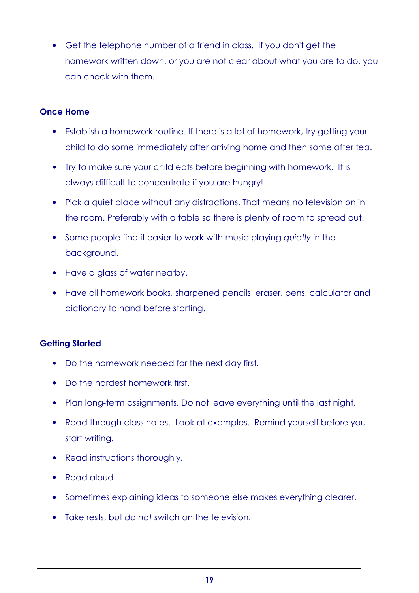• Get the telephone number of a friend in class. If you don't get the homework written down, or you are not clear about what you are to do, you can check with them.

#### Once Home

- Establish a homework routine. If there is a lot of homework, try getting your child to do some immediately after arriving home and then some after tea.
- Try to make sure your child eats before beginning with homework. It is always difficult to concentrate if you are hungry!
- Pick a quiet place without any distractions. That means no television on in the room. Preferably with a table so there is plenty of room to spread out.
- Some people find it easier to work with music playing quietly in the background.
- Have a glass of water nearby.
- Have all homework books, sharpened pencils, eraser, pens, calculator and dictionary to hand before starting.

### Getting Started

- Do the homework needed for the next day first.
- Do the hardest homework first.
- Plan long-term assignments. Do not leave everything until the last night.
- Read through class notes. Look at examples. Remind yourself before you start writing.
- Read instructions thoroughly.
- Read aloud.
- Sometimes explaining ideas to someone else makes everything clearer.
- Take rests, but do not switch on the television.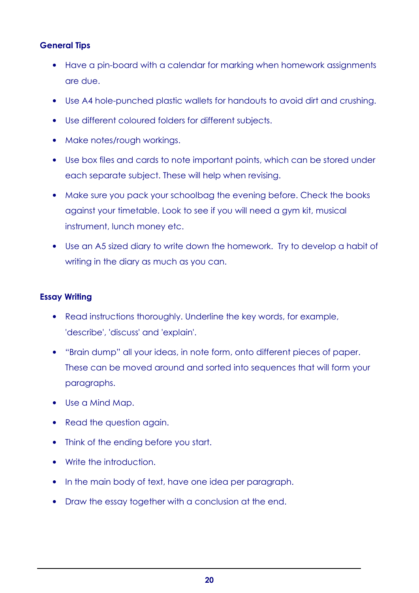## General Tips

- Have a pin-board with a calendar for marking when homework assignments are due.
- Use A4 hole-punched plastic wallets for handouts to avoid dirt and crushing.
- Use different coloured folders for different subjects.
- Make notes/rough workings.
- Use box files and cards to note important points, which can be stored under each separate subject. These will help when revising.
- Make sure you pack your schoolbag the evening before. Check the books against your timetable. Look to see if you will need a gym kit, musical instrument, lunch money etc.
- Use an A5 sized diary to write down the homework. Try to develop a habit of writing in the diary as much as you can.

## Essay Writing

- Read instructions thoroughly. Underline the key words, for example, 'describe', 'discuss' and 'explain'.
- "Brain dump" all your ideas, in note form, onto different pieces of paper. These can be moved around and sorted into sequences that will form your paragraphs.
- Use a Mind Map.
- Read the question again.
- Think of the ending before you start.
- Write the introduction.
- In the main body of text, have one idea per paragraph.
- Draw the essay together with a conclusion at the end.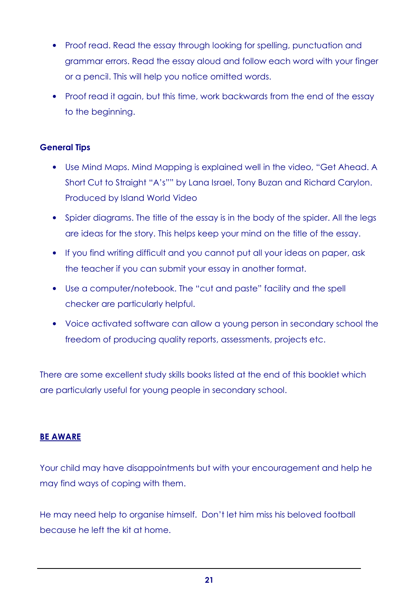- Proof read. Read the essay through looking for spelling, punctuation and grammar errors. Read the essay aloud and follow each word with your finger or a pencil. This will help you notice omitted words.
- Proof read it again, but this time, work backwards from the end of the essay to the beginning.

## General Tips

- Use Mind Maps. Mind Mapping is explained well in the video, "Get Ahead. A Short Cut to Straight "A's"" by Lana Israel, Tony Buzan and Richard Carylon. Produced by Island World Video
- Spider diagrams. The title of the essay is in the body of the spider. All the legs are ideas for the story. This helps keep your mind on the title of the essay.
- If you find writing difficult and you cannot put all your ideas on paper, ask the teacher if you can submit your essay in another format.
- Use a computer/notebook. The "cut and paste" facility and the spell checker are particularly helpful.
- Voice activated software can allow a young person in secondary school the freedom of producing quality reports, assessments, projects etc.

There are some excellent study skills books listed at the end of this booklet which are particularly useful for young people in secondary school.

### BE AWARE

Your child may have disappointments but with your encouragement and help he may find ways of coping with them.

He may need help to organise himself. Don't let him miss his beloved football because he left the kit at home.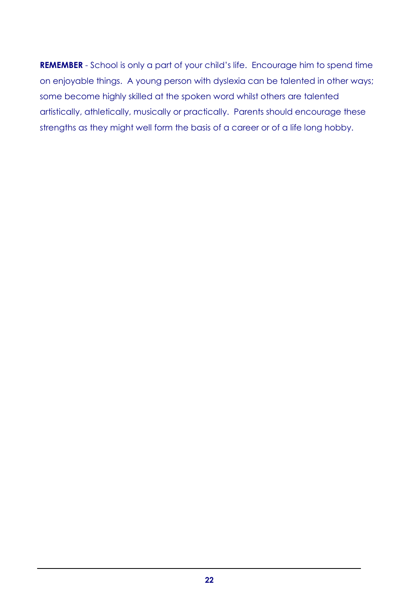REMEMBER - School is only a part of your child's life. Encourage him to spend time on enjoyable things. A young person with dyslexia can be talented in other ways; some become highly skilled at the spoken word whilst others are talented artistically, athletically, musically or practically. Parents should encourage these strengths as they might well form the basis of a career or of a life long hobby.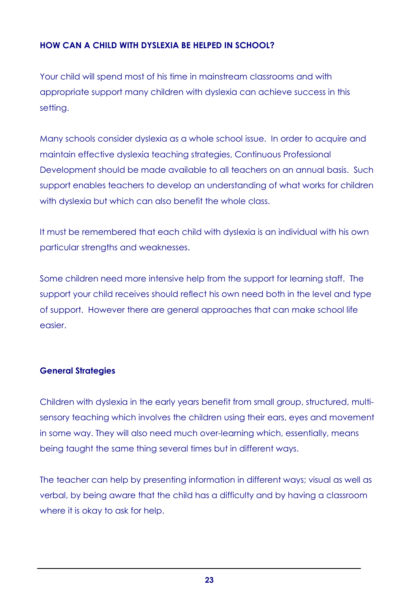## HOW CAN A CHILD WITH DYSLEXIA BE HELPED IN SCHOOL?

Your child will spend most of his time in mainstream classrooms and with appropriate support many children with dyslexia can achieve success in this setting.

Many schools consider dyslexia as a whole school issue. In order to acquire and maintain effective dyslexia teaching strategies, Continuous Professional Development should be made available to all teachers on an annual basis. Such support enables teachers to develop an understanding of what works for children with dyslexia but which can also benefit the whole class.

It must be remembered that each child with dyslexia is an individual with his own particular strengths and weaknesses.

Some children need more intensive help from the support for learning staff. The support your child receives should reflect his own need both in the level and type of support. However there are general approaches that can make school life easier.

### General Strategies

Children with dyslexia in the early years benefit from small group, structured, multisensory teaching which involves the children using their ears, eyes and movement in some way. They will also need much over-learning which, essentially, means being taught the same thing several times but in different ways.

The teacher can help by presenting information in different ways; visual as well as verbal, by being aware that the child has a difficulty and by having a classroom where it is okay to ask for help.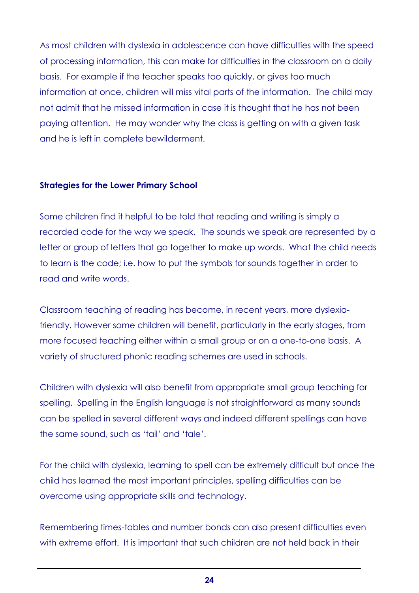As most children with dyslexia in adolescence can have difficulties with the speed of processing information, this can make for difficulties in the classroom on a daily basis. For example if the teacher speaks too quickly, or gives too much information at once, children will miss vital parts of the information. The child may not admit that he missed information in case it is thought that he has not been paying attention. He may wonder why the class is getting on with a given task and he is left in complete bewilderment.

#### Strategies for the Lower Primary School

Some children find it helpful to be told that reading and writing is simply a recorded code for the way we speak. The sounds we speak are represented by a letter or group of letters that go together to make up words. What the child needs to learn is the code; i.e. how to put the symbols for sounds together in order to read and write words.

Classroom teaching of reading has become, in recent years, more dyslexiafriendly. However some children will benefit, particularly in the early stages, from more focused teaching either within a small group or on a one-to-one basis. A variety of structured phonic reading schemes are used in schools.

Children with dyslexia will also benefit from appropriate small group teaching for spelling. Spelling in the English language is not straightforward as many sounds can be spelled in several different ways and indeed different spellings can have the same sound, such as 'tail' and 'tale'.

For the child with dyslexia, learning to spell can be extremely difficult but once the child has learned the most important principles, spelling difficulties can be overcome using appropriate skills and technology.

Remembering times-tables and number bonds can also present difficulties even with extreme effort. It is important that such children are not held back in their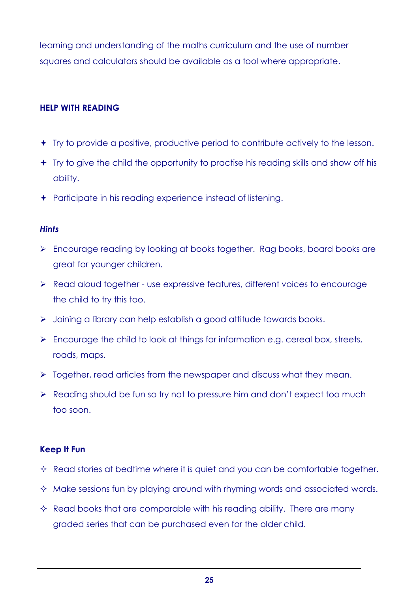learning and understanding of the maths curriculum and the use of number squares and calculators should be available as a tool where appropriate.

## HELP WITH READING

- Try to provide a positive, productive period to contribute actively to the lesson.
- Try to give the child the opportunity to practise his reading skills and show off his ability.
- Participate in his reading experience instead of listening.

#### **Hints**

- Encourage reading by looking at books together. Rag books, board books are great for younger children.
- ▶ Read aloud together use expressive features, different voices to encourage the child to try this too.
- > Joining a library can help establish a good attitude towards books.
- $\triangleright$  Encourage the child to look at things for information e.g. cereal box, streets, roads, maps.
- $\triangleright$  Together, read articles from the newspaper and discuss what they mean.
- ▶ Reading should be fun so try not to pressure him and don't expect too much too soon.

### Keep It Fun

- $\Diamond$  Read stories at bedtime where it is quiet and you can be comfortable together.
- $\Diamond$  Make sessions fun by playing around with rhyming words and associated words.
- $\Diamond$  Read books that are comparable with his reading ability. There are many graded series that can be purchased even for the older child.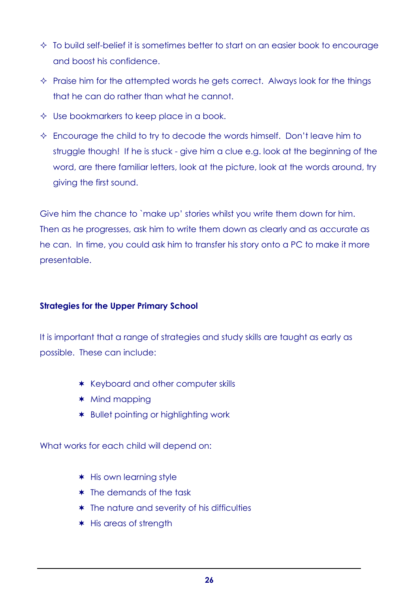- $\Diamond$  To build self-belief it is sometimes better to start on an easier book to encourage and boost his confidence.
- $\Diamond$  Praise him for the attempted words he gets correct. Always look for the things that he can do rather than what he cannot.
- $\Diamond$  Use bookmarkers to keep place in a book.
- $\Diamond$  Encourage the child to try to decode the words himself. Don't leave him to struggle though! If he is stuck - give him a clue e.g. look at the beginning of the word, are there familiar letters, look at the picture, look at the words around, try giving the first sound.

Give him the chance to `make up' stories whilst you write them down for him. Then as he progresses, ask him to write them down as clearly and as accurate as he can. In time, you could ask him to transfer his story onto a PC to make it more presentable.

### Strategies for the Upper Primary School

It is important that a range of strategies and study skills are taught as early as possible. These can include:

- \* Keyboard and other computer skills
- \* Mind mapping
- \* Bullet pointing or highlighting work

What works for each child will depend on:

- \* His own learning style
- \* The demands of the task
- \* The nature and severity of his difficulties
- \* His areas of strength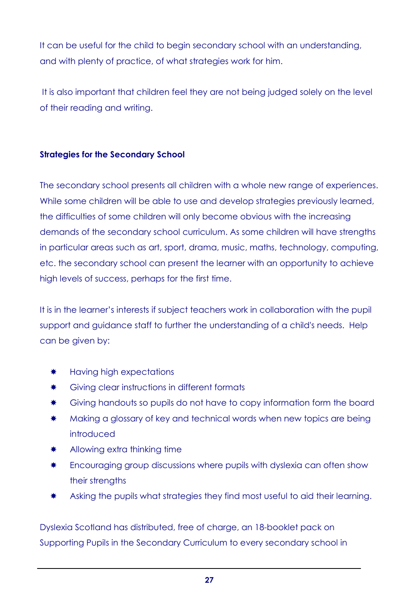It can be useful for the child to begin secondary school with an understanding, and with plenty of practice, of what strategies work for him.

 It is also important that children feel they are not being judged solely on the level of their reading and writing.

## Strategies for the Secondary School

The secondary school presents all children with a whole new range of experiences. While some children will be able to use and develop strategies previously learned, the difficulties of some children will only become obvious with the increasing demands of the secondary school curriculum. As some children will have strengths in particular areas such as art, sport, drama, music, maths, technology, computing, etc. the secondary school can present the learner with an opportunity to achieve high levels of success, perhaps for the first time.

It is in the learner's interests if subject teachers work in collaboration with the pupil support and guidance staff to further the understanding of a child's needs. Help can be given by:

- \* Having high expectations
- **\*** Giving clear instructions in different formats
- **\*** Giving handouts so pupils do not have to copy information form the board
- **\*** Making a glossary of key and technical words when new topics are being introduced
- \* Allowing extra thinking time
- **\*** Encouraging group discussions where pupils with dyslexia can often show their strengths
- \* Asking the pupils what strategies they find most useful to aid their learning.

Dyslexia Scotland has distributed, free of charge, an 18-booklet pack on Supporting Pupils in the Secondary Curriculum to every secondary school in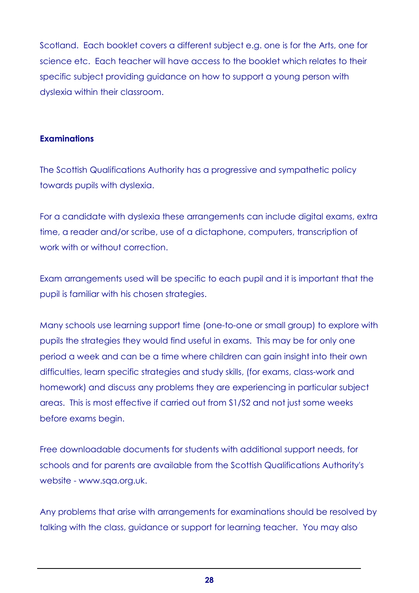Scotland. Each booklet covers a different subject e.g. one is for the Arts, one for science etc. Each teacher will have access to the booklet which relates to their specific subject providing guidance on how to support a young person with dyslexia within their classroom.

### **Examinations**

The Scottish Qualifications Authority has a progressive and sympathetic policy towards pupils with dyslexia.

For a candidate with dyslexia these arrangements can include digital exams, extra time, a reader and/or scribe, use of a dictaphone, computers, transcription of work with or without correction.

Exam arrangements used will be specific to each pupil and it is important that the pupil is familiar with his chosen strategies.

Many schools use learning support time (one-to-one or small group) to explore with pupils the strategies they would find useful in exams. This may be for only one period a week and can be a time where children can gain insight into their own difficulties, learn specific strategies and study skills, (for exams, class-work and homework) and discuss any problems they are experiencing in particular subject areas. This is most effective if carried out from S1/S2 and not just some weeks before exams begin.

Free downloadable documents for students with additional support needs, for schools and for parents are available from the Scottish Qualifications Authority's website - www.sqa.org.uk.

Any problems that arise with arrangements for examinations should be resolved by talking with the class, guidance or support for learning teacher. You may also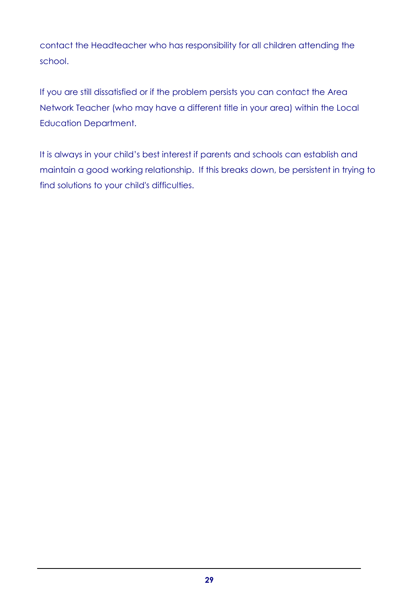contact the Headteacher who has responsibility for all children attending the school.

If you are still dissatisfied or if the problem persists you can contact the Area Network Teacher (who may have a different title in your area) within the Local Education Department.

It is always in your child's best interest if parents and schools can establish and maintain a good working relationship. If this breaks down, be persistent in trying to find solutions to your child's difficulties.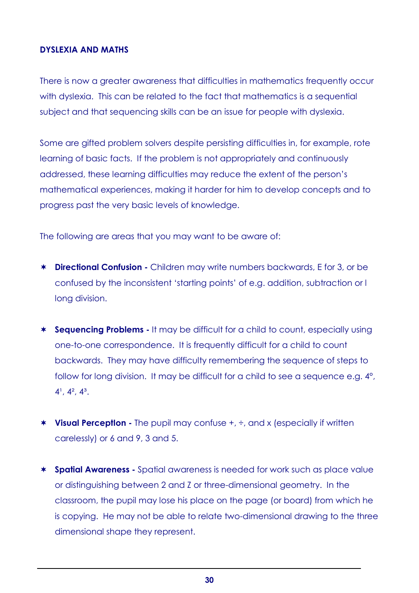### DYSLEXIA AND MATHS

There is now a greater awareness that difficulties in mathematics frequently occur with dyslexia. This can be related to the fact that mathematics is a sequential subject and that sequencing skills can be an issue for people with dyslexia.

Some are gifted problem solvers despite persisting difficulties in, for example, rote learning of basic facts. If the problem is not appropriately and continuously addressed, these learning difficulties may reduce the extent of the person's mathematical experiences, making it harder for him to develop concepts and to progress past the very basic levels of knowledge.

The following are areas that you may want to be aware of:

- \* Directional Confusion Children may write numbers backwards, E for 3, or be confused by the inconsistent 'starting points' of e.g. addition, subtraction or l long division.
- \* Sequencing Problems It may be difficult for a child to count, especially using one-to-one correspondence. It is frequently difficult for a child to count backwards. They may have difficulty remembering the sequence of steps to follow for long division. It may be difficult for a child to see a sequence e.g.  $4^{\circ}$ ,  $4^1$ ,  $4^2$ ,  $4^3$ .
- \* Visual Perception The pupil may confuse +,  $\div$ , and x (especially if written carelessly) or 6 and 9, 3 and 5.
- \* Spatial Awareness Spatial awareness is needed for work such as place value or distinguishing between 2 and Z or three-dimensional geometry. In the classroom, the pupil may lose his place on the page (or board) from which he is copying. He may not be able to relate two-dimensional drawing to the three dimensional shape they represent.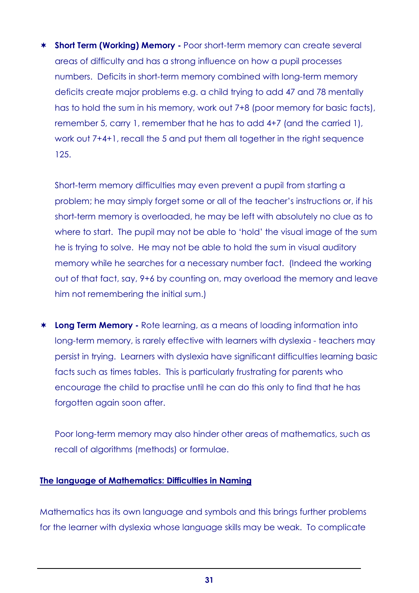\* Short Term (Working) Memory - Poor short-term memory can create several areas of difficulty and has a strong influence on how a pupil processes numbers. Deficits in short-term memory combined with long-term memory deficits create major problems e.g. a child trying to add 47 and 78 mentally has to hold the sum in his memory, work out 7+8 (poor memory for basic facts), remember 5, carry 1, remember that he has to add 4+7 (and the carried 1), work out 7+4+1, recall the 5 and put them all together in the right sequence 125.

 Short-term memory difficulties may even prevent a pupil from starting a problem; he may simply forget some or all of the teacher's instructions or, if his short-term memory is overloaded, he may be left with absolutely no clue as to where to start. The pupil may not be able to 'hold' the visual image of the sum he is trying to solve. He may not be able to hold the sum in visual auditory memory while he searches for a necessary number fact. (Indeed the working out of that fact, say, 9+6 by counting on, may overload the memory and leave him not remembering the initial sum.)

\* Long Term Memory - Rote learning, as a means of loading information into long-term memory, is rarely effective with learners with dyslexia - teachers may persist in trying. Learners with dyslexia have significant difficulties learning basic facts such as times tables. This is particularly frustrating for parents who encourage the child to practise until he can do this only to find that he has forgotten again soon after.

 Poor long-term memory may also hinder other areas of mathematics, such as recall of algorithms (methods) or formulae.

### The language of Mathematics: Difficulties in Naming

Mathematics has its own language and symbols and this brings further problems for the learner with dyslexia whose language skills may be weak. To complicate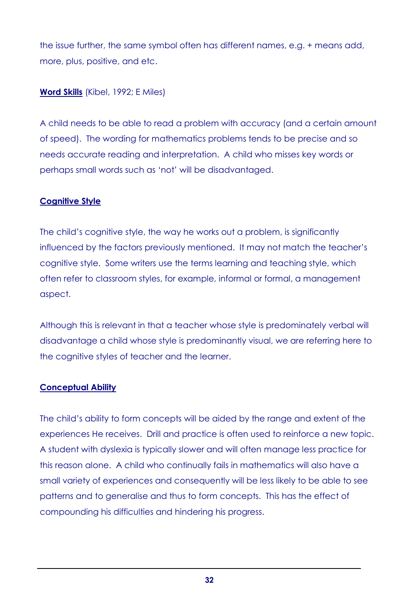the issue further, the same symbol often has different names, e.g. + means add, more, plus, positive, and etc.

## Word Skills (Kibel, 1992; E Miles)

A child needs to be able to read a problem with accuracy (and a certain amount of speed). The wording for mathematics problems tends to be precise and so needs accurate reading and interpretation. A child who misses key words or perhaps small words such as 'not' will be disadvantaged.

## Cognitive Style

The child's cognitive style, the way he works out a problem, is significantly influenced by the factors previously mentioned. It may not match the teacher's cognitive style. Some writers use the terms learning and teaching style, which often refer to classroom styles, for example, informal or formal, a management aspect.

Although this is relevant in that a teacher whose style is predominately verbal will disadvantage a child whose style is predominantly visual, we are referring here to the cognitive styles of teacher and the learner.

### **Conceptual Ability**

The child's ability to form concepts will be aided by the range and extent of the experiences He receives. Drill and practice is often used to reinforce a new topic. A student with dyslexia is typically slower and will often manage less practice for this reason alone. A child who continually fails in mathematics will also have a small variety of experiences and consequently will be less likely to be able to see patterns and to generalise and thus to form concepts. This has the effect of compounding his difficulties and hindering his progress.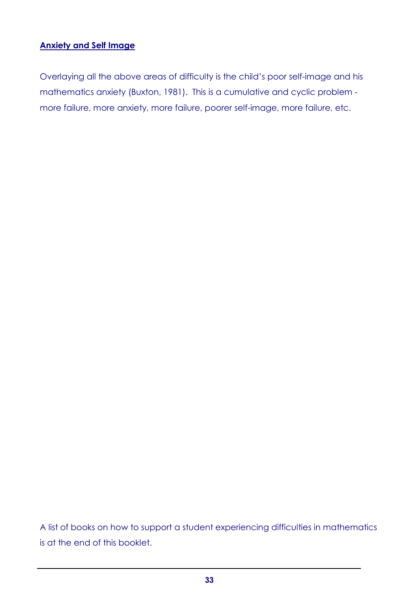## Anxiety and Self Image

Overlaying all the above areas of difficulty is the child's poor self-image and his mathematics anxiety (Buxton, 1981). This is a cumulative and cyclic problem more failure, more anxiety, more failure, poorer self-image, more failure, etc.

A list of books on how to support a student experiencing difficulties in mathematics is at the end of this booklet.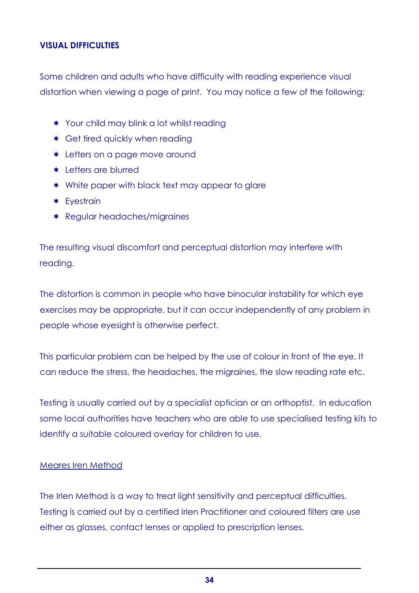## VISUAL DIFFICULTIES

Some children and adults who have difficulty with reading experience visual distortion when viewing a page of print. You may notice a few of the following:

- \* Your child may blink a lot whilst reading
- \* Get tired quickly when reading
- \* Letters on a page move around
- \* Letters are blurred
- \* White paper with black text may appear to glare
- \* Eyestrain
- \* Regular headaches/migraines

The resulting visual discomfort and perceptual distortion may interfere with reading.

The distortion is common in people who have binocular instability for which eye exercises may be appropriate, but it can occur independently of any problem in people whose eyesight is otherwise perfect.

This particular problem can be helped by the use of colour in front of the eye. It can reduce the stress, the headaches, the migraines, the slow reading rate etc.

Testing is usually carried out by a specialist optician or an orthoptist. In education some local authorities have teachers who are able to use specialised testing kits to identify a suitable coloured overlay for children to use.

### Meares Iren Method

The Irlen Method is a way to treat light sensitivity and perceptual difficulties. Testing is carried out by a certified Irlen Practitioner and coloured filters are use either as glasses, contact lenses or applied to prescription lenses.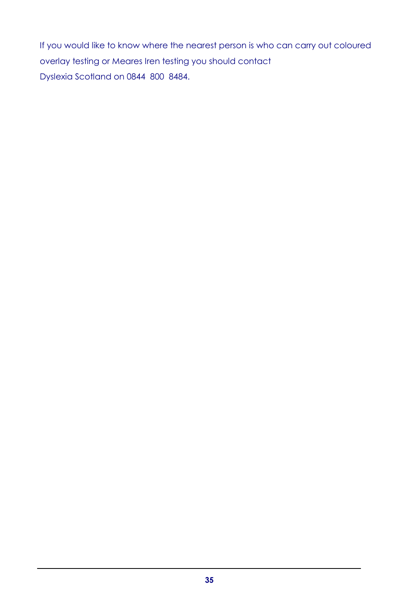If you would like to know where the nearest person is who can carry out coloured overlay testing or Meares Iren testing you should contact Dyslexia Scotland on 0844 800 8484.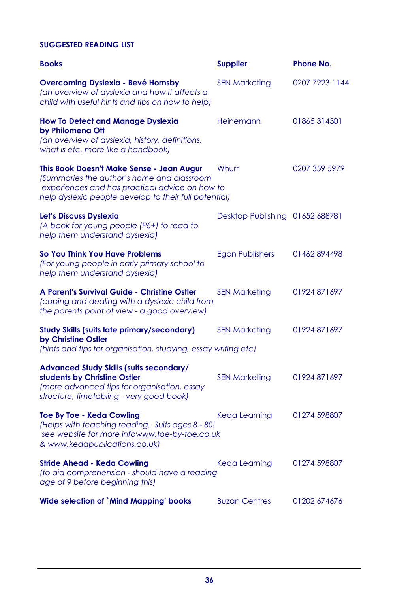## SUGGESTED READING LIST

| <b>Books</b>                                                                                                                                                                                       | <b>Supplier</b>                 | <b>Phone No.</b> |
|----------------------------------------------------------------------------------------------------------------------------------------------------------------------------------------------------|---------------------------------|------------------|
| <b>Overcoming Dyslexia - Bevé Hornsby</b><br>(an overview of dyslexia and how it affects a<br>child with useful hints and tips on how to help)                                                     | <b>SEN Marketing</b>            | 0207 7223 1144   |
| <b>How To Detect and Manage Dyslexia</b><br>by Philomena Ott<br>(an overview of dyslexia, history, definitions,<br>what is etc. more like a handbook)                                              | Heinemann                       | 01865314301      |
| This Book Doesn't Make Sense - Jean Augur<br>(Summaries the author's home and classroom<br>experiences and has practical advice on how to<br>help dyslexic people develop to their full potential) | Whurr                           | 0207 359 5979    |
| Let's Discuss Dyslexia<br>(A book for young people (P6+) to read to<br>help them understand dyslexia)                                                                                              | Desktop Publishing 01652 688781 |                  |
| So You Think You Have Problems<br>(For young people in early primary school to<br>help them understand dyslexia)                                                                                   | <b>Egon Publishers</b>          | 01462894498      |
| A Parent's Survival Guide - Christine Ostler<br>(coping and dealing with a dyslexic child from<br>the parents point of view - a good overview)                                                     | <b>SEN Marketing</b>            | 01924 871697     |
| <b>Study Skills (suits late primary/secondary)</b><br>by Christine Ostler<br>(hints and tips for organisation, studying, essay writing etc)                                                        | <b>SEN Marketing</b>            | 01924 871697     |
| <b>Advanced Study Skills (suits secondary/</b><br>students by Christine Ostler<br>(more advanced tips for organisation, essay<br>structure, timetabling - very good book)                          | <b>SEN Marketing</b>            | 01924 871697     |
| <b>Toe By Toe - Keda Cowling</b><br>(Helps with teaching reading. Suits ages 8 - 80!<br>see website for more infowww.toe-by-toe.co.uk<br>& www.kedapublications.co.uk)                             | Keda Learning                   | 01274 598807     |
| <b>Stride Ahead - Keda Cowling</b><br>(to aid comprehension - should have a reading<br>age of 9 before beginning this)                                                                             | Keda Learning                   | 01274 598807     |
| <b>Wide selection of `Mind Mapping' books</b>                                                                                                                                                      | <b>Buzan Centres</b>            | 01202 674676     |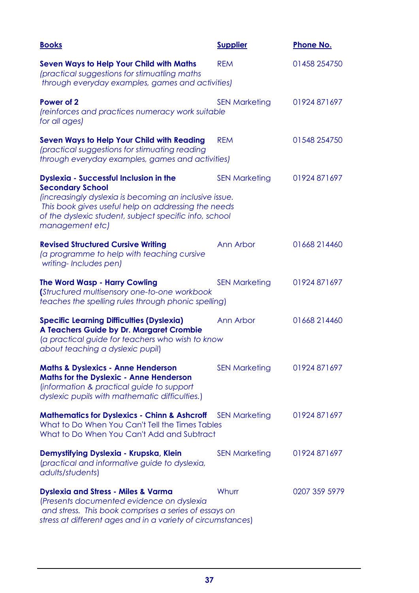| <b>Books</b>                                                                                                                                                                                                                                                           | <b>Supplier</b>      | <b>Phone No.</b> |
|------------------------------------------------------------------------------------------------------------------------------------------------------------------------------------------------------------------------------------------------------------------------|----------------------|------------------|
| <b>Seven Ways to Help Your Child with Maths</b><br>(practical suggestions for stimuatling maths<br>through everyday examples, games and activities)                                                                                                                    | <b>REM</b>           | 01458 254750     |
| Power of 2<br>(reinforces and practices numeracy work suitable<br>for all ages)                                                                                                                                                                                        | <b>SEN Marketing</b> | 01924 871 697    |
| <b>Seven Ways to Help Your Child with Reading</b><br>(practical suggestions for stimuating reading<br>through everyday examples, games and activities)                                                                                                                 | <b>REM</b>           | 01548 254750     |
| <b>Dyslexia - Successful Inclusion in the</b><br><b>Secondary School</b><br>(increasingly dyslexia is becoming an inclusive issue.<br>This book gives useful help on addressing the needs<br>of the dyslexic student, subject specific info, school<br>management etc) | <b>SEN Marketing</b> | 01924 871697     |
| <b>Revised Structured Cursive Writing</b><br>(a programme to help with teaching cursive<br>writing-Includes pen)                                                                                                                                                       | Ann Arbor            | 01668 214460     |
| <b>The Word Wasp - Harry Cowling</b><br>(Structured multisensory one-to-one workbook<br>teaches the spelling rules through phonic spelling)                                                                                                                            | <b>SEN Marketing</b> | 01924 871697     |
| <b>Specific Learning Difficulties (Dyslexia)</b><br>A Teachers Guide by Dr. Margaret Crombie<br>(a practical guide for teachers who wish to know<br>about teaching a dyslexic pupil)                                                                                   | Ann Arbor            | 01668 214460     |
| <b>Maths &amp; Dyslexics - Anne Henderson</b><br><b>Maths for the Dyslexic - Anne Henderson</b><br>(information & practical guide to support<br>dyslexic pupils with mathematic difficulties.)                                                                         | <b>SEN Marketing</b> | 01924 871697     |
| <b>Mathematics for Dyslexics - Chinn &amp; Ashcroff</b> SEN Marketing<br>What to Do When You Can't Tell the Times Tables<br>What to Do When You Can't Add and Subtract                                                                                                 |                      | 01924 871697     |
| Demystifying Dyslexia - Krupska, Klein<br>(practical and informative guide to dyslexia,<br>adults/students)                                                                                                                                                            | <b>SEN Marketing</b> | 01924 871697     |
| <b>Dyslexia and Stress - Miles &amp; Varma</b><br>(Presents documented evidence on dyslexia<br>and stress. This book comprises a series of essays on<br>stress at different ages and in a variety of circumstances)                                                    | Whurr                | 0207 359 5979    |